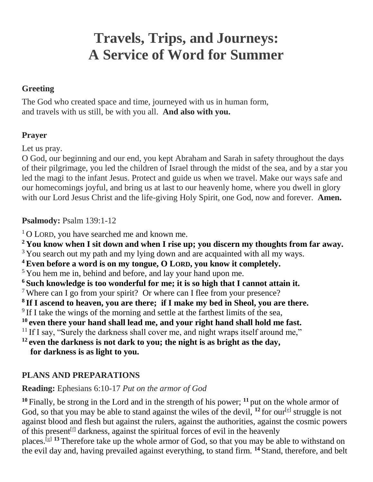# **Travels, Trips, and Journeys: A Service of Word for Summer**

# **Greeting**

The God who created space and time, journeyed with us in human form, and travels with us still, be with you all. **And also with you.**

# **Prayer**

Let us pray.

O God, our beginning and our end, you kept Abraham and Sarah in safety throughout the days of their pilgrimage, you led the children of Israel through the midst of the sea, and by a star you led the magi to the infant Jesus. Protect and guide us when we travel. Make our ways safe and our homecomings joyful, and bring us at last to our heavenly home, where you dwell in glory with our Lord Jesus Christ and the life-giving Holy Spirit, one God, now and forever. **Amen.**

# **Psalmody:** Psalm 139:1-12

<sup>1</sup>O LORD, you have searched me and known me.

**<sup>2</sup> You know when I sit down and when I rise up; you discern my thoughts from far away.**

<sup>3</sup> You search out my path and my lying down and are acquainted with all my ways.

**<sup>4</sup>Even before a word is on my tongue, O LORD, you know it completely.**

<sup>5</sup> You hem me in, behind and before, and lay your hand upon me.

**<sup>6</sup> Such knowledge is too wonderful for me; it is so high that I cannot attain it.**

<sup>7</sup> Where can I go from your spirit? Or where can I flee from your presence?

**8 If I ascend to heaven, you are there; if I make my bed in Sheol, you are there.**

<sup>9</sup> If I take the wings of the morning and settle at the farthest limits of the sea,

**<sup>10</sup> even there your hand shall lead me, and your right hand shall hold me fast.**

<sup>11</sup> If I say, "Surely the darkness shall cover me, and night wraps itself around me,"

**<sup>12</sup> even the darkness is not dark to you; the night is as bright as the day, for darkness is as light to you.**

# **PLANS AND PREPARATIONS**

**Reading:** Ephesians 6:10-17 *Put on the armor of God*

**<sup>10</sup>** Finally, be strong in the Lord and in the strength of his power; **<sup>11</sup>** put on the whole armor of God, so that you may be able to stand against the wiles of the devil,  $^{12}$  for our<sup>[\[e\]](https://www.biblegateway.com/passage/?search=Ephesians+6&version=NRSVUE#fen-NRSVUE-29333e)</sup> struggle is not against blood and flesh but against the rulers, against the authorities, against the cosmic powers of this present  $[f]$  darkness, against the spiritual forces of evil in the heavenly

places.[\[g\]](https://www.biblegateway.com/passage/?search=Ephesians+6&version=NRSVUE#fen-NRSVUE-29333g) **<sup>13</sup>** Therefore take up the whole armor of God, so that you may be able to withstand on the evil day and, having prevailed against everything, to stand firm. **<sup>14</sup>** Stand, therefore, and belt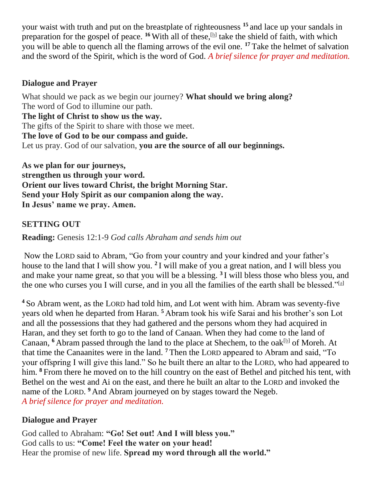your waist with truth and put on the breastplate of righteousness **<sup>15</sup>** and lace up your sandals in preparation for the gospel of peace. <sup>16</sup> With all of these, <sup>[\[h\]](https://www.biblegateway.com/passage/?search=Ephesians+6&version=NRSVUE#fen-NRSVUE-29337h)</sup> take the shield of faith, with which you will be able to quench all the flaming arrows of the evil one. **<sup>17</sup>** Take the helmet of salvation and the sword of the Spirit, which is the word of God. *A brief silence for prayer and meditation.*

## **Dialogue and Prayer**

What should we pack as we begin our journey? **What should we bring along?** The word of God to illumine our path. **The light of Christ to show us the way.** The gifts of the Spirit to share with those we meet. **The love of God to be our compass and guide.** Let us pray. God of our salvation, **you are the source of all our beginnings.**

**As we plan for our journeys, strengthen us through your word. Orient our lives toward Christ, the bright Morning Star. Send your Holy Spirit as our companion along the way. In Jesus' name we pray. Amen.**

# **SETTING OUT**

**Reading:** Genesis 12:1-9 *God calls Abraham and sends him out*

Now the LORD said to Abram, "Go from your country and your kindred and your father's house to the land that I will show you. **<sup>2</sup>** I will make of you a great nation, and I will bless you and make your name great, so that you will be a blessing. **<sup>3</sup>** I will bless those who bless you, and the one who curses you I will curse, and in you all the families of the earth shall be blessed."<sup>[\[a\]](https://www.biblegateway.com/passage/?search=Genesis+12&version=NRSVUE#fen-NRSVUE-302a)</sup>

**<sup>4</sup>** So Abram went, as the LORD had told him, and Lot went with him. Abram was seventy-five years old when he departed from Haran. **<sup>5</sup>** Abram took his wife Sarai and his brother's son Lot and all the possessions that they had gathered and the persons whom they had acquired in Haran, and they set forth to go to the land of Canaan. When they had come to the land of Canaan, <sup>6</sup> Abram passed through the land to the place at Shechem, to the oak<sup>[\[b\]](https://www.biblegateway.com/passage/?search=Genesis+12&version=NRSVUE#fen-NRSVUE-305b)</sup> of Moreh. At that time the Canaanites were in the land. **<sup>7</sup>** Then the LORD appeared to Abram and said, "To your offspring I will give this land." So he built there an altar to the LORD, who had appeared to him. **<sup>8</sup>** From there he moved on to the hill country on the east of Bethel and pitched his tent, with Bethel on the west and Ai on the east, and there he built an altar to the LORD and invoked the name of the LORD.<sup>9</sup> And Abram journeyed on by stages toward the Negeb. *A brief silence for prayer and meditation.*

# **Dialogue and Prayer**

God called to Abraham: **"Go! Set out! And I will bless you."** God calls to us: **"Come! Feel the water on your head!** Hear the promise of new life. **Spread my word through all the world."**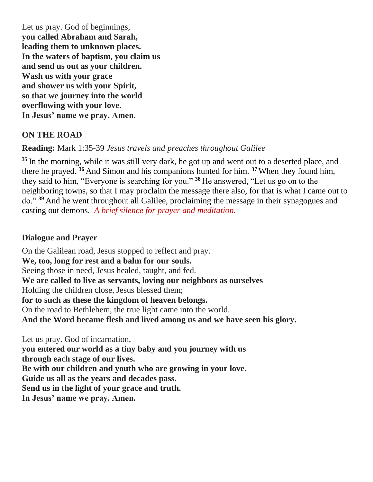Let us pray. God of beginnings, **you called Abraham and Sarah, leading them to unknown places. In the waters of baptism, you claim us and send us out as your children. Wash us with your grace and shower us with your Spirit, so that we journey into the world overflowing with your love. In Jesus' name we pray. Amen.**

## **ON THE ROAD**

**Reading:** Mark 1:35-39 *Jesus travels and preaches throughout Galilee*

**<sup>35</sup>** In the morning, while it was still very dark, he got up and went out to a deserted place, and there he prayed. **<sup>36</sup>** And Simon and his companions hunted for him. **<sup>37</sup>** When they found him, they said to him, "Everyone is searching for you." **<sup>38</sup>** He answered, "Let us go on to the neighboring towns, so that I may proclaim the message there also, for that is what I came out to do." **<sup>39</sup>** And he went throughout all Galilee, proclaiming the message in their synagogues and casting out demons. *A brief silence for prayer and meditation.*

## **Dialogue and Prayer**

On the Galilean road, Jesus stopped to reflect and pray. **We, too, long for rest and a balm for our souls.** Seeing those in need, Jesus healed, taught, and fed. **We are called to live as servants, loving our neighbors as ourselves** Holding the children close, Jesus blessed them; **for to such as these the kingdom of heaven belongs.** On the road to Bethlehem, the true light came into the world. **And the Word became flesh and lived among us and we have seen his glory.**

Let us pray. God of incarnation, **you entered our world as a tiny baby and you journey with us through each stage of our lives. Be with our children and youth who are growing in your love. Guide us all as the years and decades pass. Send us in the light of your grace and truth. In Jesus' name we pray. Amen.**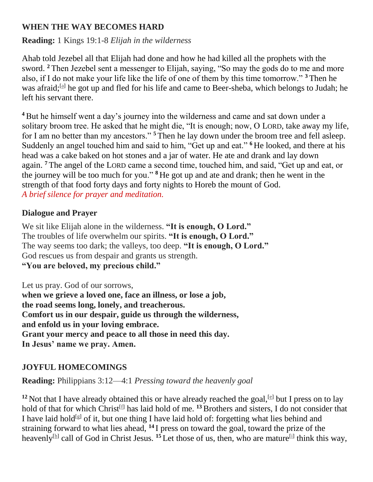## **WHEN THE WAY BECOMES HARD**

**Reading:** 1 Kings 19:1-8 *Elijah in the wilderness*

Ahab told Jezebel all that Elijah had done and how he had killed all the prophets with the sword. **<sup>2</sup>** Then Jezebel sent a messenger to Elijah, saying, "So may the gods do to me and more also, if I do not make your life like the life of one of them by this time tomorrow." **<sup>3</sup>** Then he was afraid;<sup>[\[a\]](https://www.biblegateway.com/passage/?search=1%20Kings+19&version=NRSVUE#fen-NRSVUE-9391a)</sup> he got up and fled for his life and came to Beer-sheba, which belongs to Judah; he left his servant there.

**<sup>4</sup>**But he himself went a day's journey into the wilderness and came and sat down under a solitary broom tree. He asked that he might die, "It is enough; now, O LORD, take away my life, for I am no better than my ancestors." **<sup>5</sup>** Then he lay down under the broom tree and fell asleep. Suddenly an angel touched him and said to him, "Get up and eat." **<sup>6</sup>** He looked, and there at his head was a cake baked on hot stones and a jar of water. He ate and drank and lay down again. **<sup>7</sup>** The angel of the LORD came a second time, touched him, and said, "Get up and eat, or the journey will be too much for you." **<sup>8</sup>** He got up and ate and drank; then he went in the strength of that food forty days and forty nights to Horeb the mount of God. *A brief silence for prayer and meditation.*

## **Dialogue and Prayer**

We sit like Elijah alone in the wilderness. **"It is enough, O Lord."** The troubles of life overwhelm our spirits. **"It is enough, O Lord."** The way seems too dark; the valleys, too deep. **"It is enough, O Lord."** God rescues us from despair and grants us strength. **"You are beloved, my precious child."**

Let us pray. God of our sorrows, **when we grieve a loved one, face an illness, or lose a job, the road seems long, lonely, and treacherous. Comfort us in our despair, guide us through the wilderness, and enfold us in your loving embrace. Grant your mercy and peace to all those in need this day. In Jesus' name we pray. Amen.**

# **JOYFUL HOMECOMINGS**

**Reading:** Philippians 3:12—4:1 *Pressing toward the heavenly goal*

<sup>12</sup> Not that I have already obtained this or have already reached the goal, <sup>[\[e\]](https://www.biblegateway.com/passage/?search=Philippians+3&version=NRSVUE#fen-NRSVUE-29417e)</sup> but I press on to lay hold of that for which Christ<sup>[\[f\]](https://www.biblegateway.com/passage/?search=Philippians+3&version=NRSVUE#fen-NRSVUE-29417f)</sup> has laid hold of me. <sup>13</sup> Brothers and sisters, I do not consider that I have laid hold<sup>[\[g\]](https://www.biblegateway.com/passage/?search=Philippians+3&version=NRSVUE#fen-NRSVUE-29418g)</sup> of it, but one thing I have laid hold of: forgetting what lies behind and straining forward to what lies ahead, **<sup>14</sup>** I press on toward the goal, toward the prize of the heavenly<sup>[\[h\]](https://www.biblegateway.com/passage/?search=Philippians+3&version=NRSVUE#fen-NRSVUE-29419h)</sup> call of God in Christ Jesus. <sup>15</sup> Let those of us, then, who are mature<sup>[\[i\]](https://www.biblegateway.com/passage/?search=Philippians+3&version=NRSVUE#fen-NRSVUE-29420i)</sup> think this way,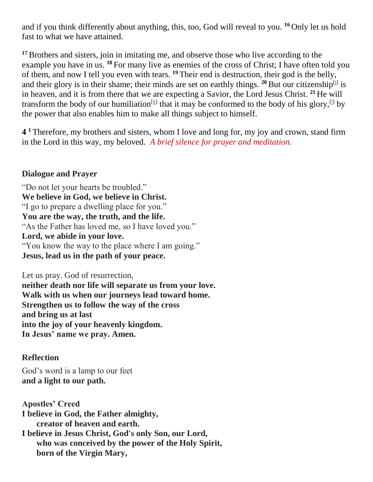and if you think differently about anything, this, too, God will reveal to you. **<sup>16</sup>** Only let us hold fast to what we have attained.

**<sup>17</sup>**Brothers and sisters, join in imitating me, and observe those who live according to the example you have in us. **<sup>18</sup>** For many live as enemies of the cross of Christ; I have often told you of them, and now I tell you even with tears. **<sup>19</sup>** Their end is destruction, their god is the belly, and their glory is in their shame; their minds are set on earthly things.  $20$  But our citizenship<sup>[\[j\]](https://www.biblegateway.com/passage/?search=Philippians+3&version=NRSVUE#fen-NRSVUE-29425j)</sup> is in heaven, and it is from there that we are expecting a Savior, the Lord Jesus Christ. **<sup>21</sup>** He will transform the body of our humiliation<sup>[\[k\]](https://www.biblegateway.com/passage/?search=Philippians+3&version=NRSVUE#fen-NRSVUE-29426k)</sup> that it may be conformed to the body of his glory,<sup>[\[l\]](https://www.biblegateway.com/passage/?search=Philippians+3&version=NRSVUE#fen-NRSVUE-29426l)</sup> by the power that also enables him to make all things subject to himself.

**4**<sup>1</sup> Therefore, my brothers and sisters, whom I love and long for, my joy and crown, stand firm in the Lord in this way, my beloved. *A brief silence for prayer and meditation.*

#### **Dialogue and Prayer**

"Do not let your hearts be troubled." **We believe in God, we believe in Christ.** "I go to prepare a dwelling place for you." **You are the way, the truth, and the life.** "As the Father has loved me, so I have loved you." **Lord, we abide in your love.** "You know the way to the place where I am going." **Jesus, lead us in the path of your peace.**

Let us pray. God of resurrection, **neither death nor life will separate us from your love. Walk with us when our journeys lead toward home. Strengthen us to follow the way of the cross and bring us at last into the joy of your heavenly kingdom. In Jesus' name we pray. Amen.**

## **Reflection**

God's word is a lamp to our feet **and a light to our path.**

**Apostles' Creed I believe in God, the Father almighty, creator of heaven and earth. I believe in Jesus Christ, God's only Son, our Lord, who was conceived by the power of the Holy Spirit, born of the Virgin Mary,**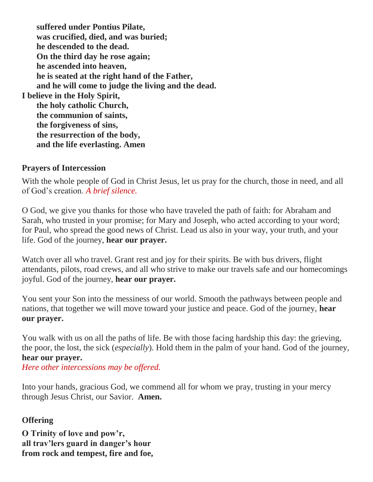**suffered under Pontius Pilate, was crucified, died, and was buried; he descended to the dead. On the third day he rose again; he ascended into heaven, he is seated at the right hand of the Father, and he will come to judge the living and the dead. I believe in the Holy Spirit, the holy catholic Church, the communion of saints, the forgiveness of sins, the resurrection of the body, and the life everlasting. Amen**

#### **Prayers of Intercession**

With the whole people of God in Christ Jesus, let us pray for the church, those in need, and all of God's creation. *A brief silence.*

O God, we give you thanks for those who have traveled the path of faith: for Abraham and Sarah, who trusted in your promise; for Mary and Joseph, who acted according to your word; for Paul, who spread the good news of Christ. Lead us also in your way, your truth, and your life. God of the journey, **hear our prayer.**

Watch over all who travel. Grant rest and joy for their spirits. Be with bus drivers, flight attendants, pilots, road crews, and all who strive to make our travels safe and our homecomings joyful. God of the journey, **hear our prayer.**

You sent your Son into the messiness of our world. Smooth the pathways between people and nations, that together we will move toward your justice and peace. God of the journey, **hear our prayer.**

You walk with us on all the paths of life. Be with those facing hardship this day: the grieving, the poor, the lost, the sick (*especially*). Hold them in the palm of your hand. God of the journey, **hear our prayer.**

*Here other intercessions may be offered.*

Into your hands, gracious God, we commend all for whom we pray, trusting in your mercy through Jesus Christ, our Savior. **Amen.**

## **Offering**

**O Trinity of love and pow'r, all trav'lers guard in danger's hour from rock and tempest, fire and foe,**